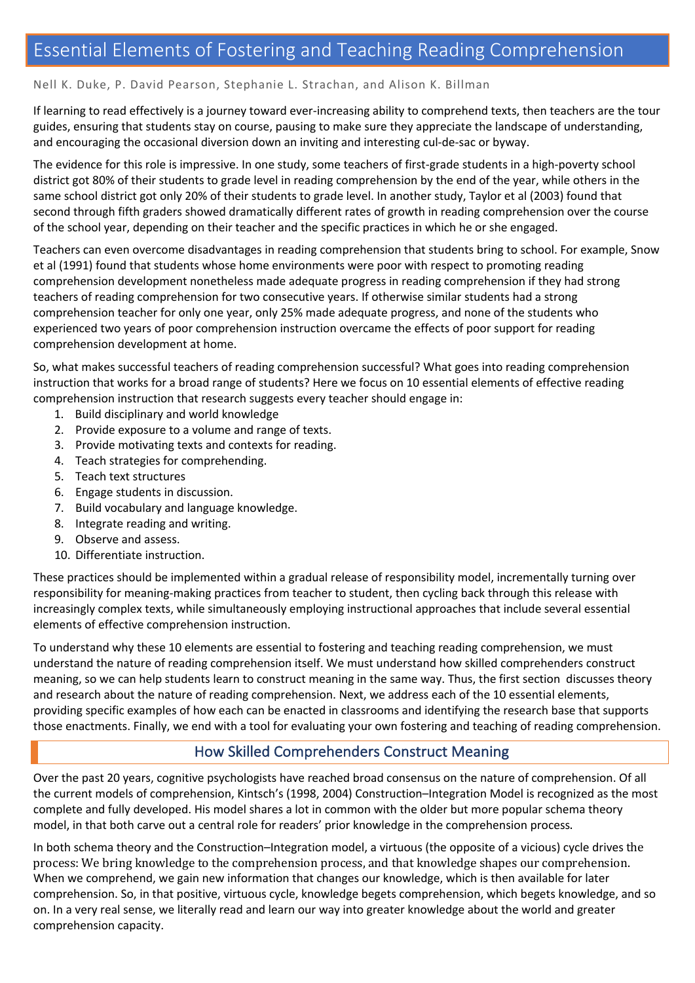# Essential Elements of Fostering and Teaching Reading Comprehension

#### Nell K. Duke, P. David Pearson, Stephanie L. Strachan, and Alison K. Billman

If learning to read effectively is a journey toward ever-increasing ability to comprehend texts, then teachers are the tour guides, ensuring that students stay on course, pausing to make sure they appreciate the landscape of understanding, and encouraging the occasional diversion down an inviting and interesting cul-de-sac or byway.

The evidence for this role is impressive. In one study, some teachers of first-grade students in a high-poverty school district got 80% of their students to grade level in reading comprehension by the end of the year, while others in the same school district got only 20% of their students to grade level. In another study, Taylor et al (2003) found that second through fifth graders showed dramatically different rates of growth in reading comprehension over the course of the school year, depending on their teacher and the specific practices in which he or she engaged.

Teachers can even overcome disadvantages in reading comprehension that students bring to school. For example, Snow et al (1991) found that students whose home environments were poor with respect to promoting reading comprehension development nonetheless made adequate progress in reading comprehension if they had strong teachers of reading comprehension for two consecutive years. If otherwise similar students had a strong comprehension teacher for only one year, only 25% made adequate progress, and none of the students who experienced two years of poor comprehension instruction overcame the effects of poor support for reading comprehension development at home.

So, what makes successful teachers of reading comprehension successful? What goes into reading comprehension instruction that works for a broad range of students? Here we focus on 10 essential elements of effective reading comprehension instruction that research suggests every teacher should engage in:

- 1. Build disciplinary and world knowledge
- 2. Provide exposure to a volume and range of texts.
- 3. Provide motivating texts and contexts for reading.
- 4. Teach strategies for comprehending.
- 5. Teach text structures
- 6. Engage students in discussion.
- 7. Build vocabulary and language knowledge.
- 8. Integrate reading and writing.
- 9. Observe and assess.
- 10. Differentiate instruction.

These practices should be implemented within a gradual release of responsibility model, incrementally turning over responsibility for meaning-making practices from teacher to student, then cycling back through this release with increasingly complex texts, while simultaneously employing instructional approaches that include several essential elements of effective comprehension instruction.

To understand why these 10 elements are essential to fostering and teaching reading comprehension, we must understand the nature of reading comprehension itself. We must understand how skilled comprehenders construct meaning, so we can help students learn to construct meaning in the same way. Thus, the first section discusses theory and research about the nature of reading comprehension. Next, we address each of the 10 essential elements, providing specific examples of how each can be enacted in classrooms and identifying the research base that supports those enactments. Finally, we end with a tool for evaluating your own fostering and teaching of reading comprehension.

## How Skilled Comprehenders Construct Meaning

Over the past 20 years, cognitive psychologists have reached broad consensus on the nature of comprehension. Of all the current models of comprehension, Kintsch's (1998, 2004) Construction–Integration Model is recognized as the most complete and fully developed. His model shares a lot in common with the older but more popular schema theory model, in that both carve out a central role for readers' prior knowledge in the comprehension process. 

In both schema theory and the Construction–Integration model, a virtuous (the opposite of a vicious) cycle drives the process: We bring knowledge to the comprehension process, and that knowledge shapes our comprehension. When we comprehend, we gain new information that changes our knowledge, which is then available for later comprehension. So, in that positive, virtuous cycle, knowledge begets comprehension, which begets knowledge, and so on. In a very real sense, we literally read and learn our way into greater knowledge about the world and greater comprehension capacity.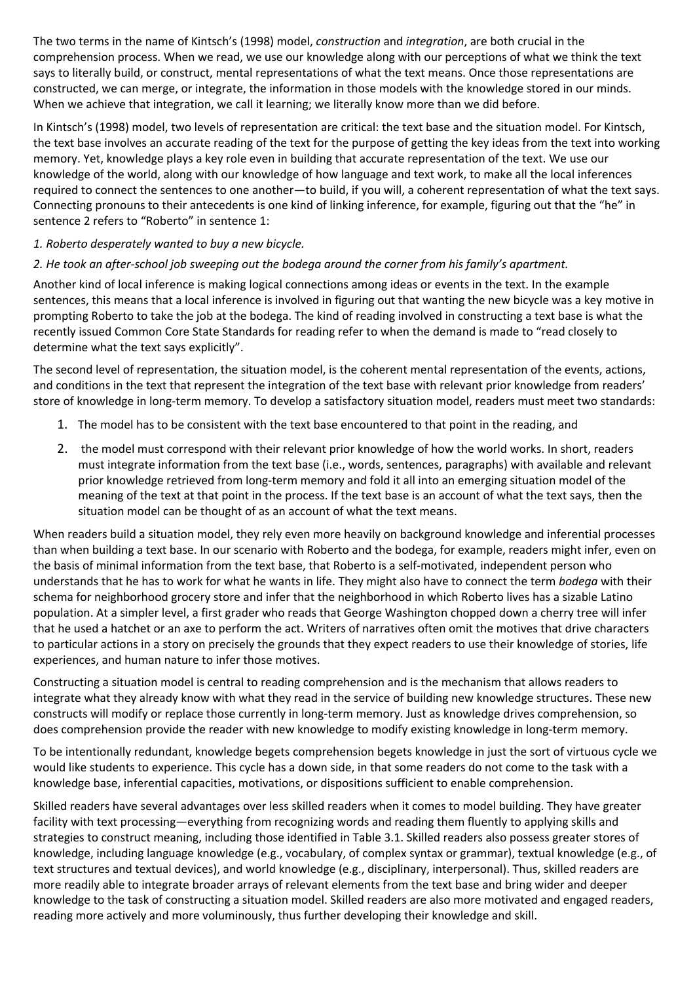The two terms in the name of Kintsch's (1998) model, *construction* and *integration*, are both crucial in the comprehension process. When we read, we use our knowledge along with our perceptions of what we think the text says to literally build, or construct, mental representations of what the text means. Once those representations are constructed, we can merge, or integrate, the information in those models with the knowledge stored in our minds. When we achieve that integration, we call it learning; we literally know more than we did before.

In Kintsch's (1998) model, two levels of representation are critical: the text base and the situation model. For Kintsch, the text base involves an accurate reading of the text for the purpose of getting the key ideas from the text into working memory. Yet, knowledge plays a key role even in building that accurate representation of the text. We use our knowledge of the world, along with our knowledge of how language and text work, to make all the local inferences required to connect the sentences to one another—to build, if you will, a coherent representation of what the text says. Connecting pronouns to their antecedents is one kind of linking inference, for example, figuring out that the "he" in sentence 2 refers to "Roberto" in sentence 1:

#### *1. Roberto desperately wanted to buy a new bicycle.*

#### *2. He took an after-school job sweeping out the bodega around the corner from his family's apartment.*

Another kind of local inference is making logical connections among ideas or events in the text. In the example sentences, this means that a local inference is involved in figuring out that wanting the new bicycle was a key motive in prompting Roberto to take the job at the bodega. The kind of reading involved in constructing a text base is what the recently issued Common Core State Standards for reading refer to when the demand is made to "read closely to determine what the text says explicitly".

The second level of representation, the situation model, is the coherent mental representation of the events, actions, and conditions in the text that represent the integration of the text base with relevant prior knowledge from readers' store of knowledge in long-term memory. To develop a satisfactory situation model, readers must meet two standards:

- 1. The model has to be consistent with the text base encountered to that point in the reading, and
- 2. the model must correspond with their relevant prior knowledge of how the world works. In short, readers must integrate information from the text base (i.e., words, sentences, paragraphs) with available and relevant prior knowledge retrieved from long-term memory and fold it all into an emerging situation model of the meaning of the text at that point in the process. If the text base is an account of what the text says, then the situation model can be thought of as an account of what the text means.

When readers build a situation model, they rely even more heavily on background knowledge and inferential processes than when building a text base. In our scenario with Roberto and the bodega, for example, readers might infer, even on the basis of minimal information from the text base, that Roberto is a self-motivated, independent person who understands that he has to work for what he wants in life. They might also have to connect the term *bodega* with their schema for neighborhood grocery store and infer that the neighborhood in which Roberto lives has a sizable Latino population. At a simpler level, a first grader who reads that George Washington chopped down a cherry tree will infer that he used a hatchet or an axe to perform the act. Writers of narratives often omit the motives that drive characters to particular actions in a story on precisely the grounds that they expect readers to use their knowledge of stories, life experiences, and human nature to infer those motives.

Constructing a situation model is central to reading comprehension and is the mechanism that allows readers to integrate what they already know with what they read in the service of building new knowledge structures. These new constructs will modify or replace those currently in long-term memory. Just as knowledge drives comprehension, so does comprehension provide the reader with new knowledge to modify existing knowledge in long-term memory.

To be intentionally redundant, knowledge begets comprehension begets knowledge in just the sort of virtuous cycle we would like students to experience. This cycle has a down side, in that some readers do not come to the task with a knowledge base, inferential capacities, motivations, or dispositions sufficient to enable comprehension.

Skilled readers have several advantages over less skilled readers when it comes to model building. They have greater facility with text processing—everything from recognizing words and reading them fluently to applying skills and strategies to construct meaning, including those identified in Table 3.1. Skilled readers also possess greater stores of knowledge, including language knowledge (e.g., vocabulary, of complex syntax or grammar), textual knowledge (e.g., of text structures and textual devices), and world knowledge (e.g., disciplinary, interpersonal). Thus, skilled readers are more readily able to integrate broader arrays of relevant elements from the text base and bring wider and deeper knowledge to the task of constructing a situation model. Skilled readers are also more motivated and engaged readers, reading more actively and more voluminously, thus further developing their knowledge and skill.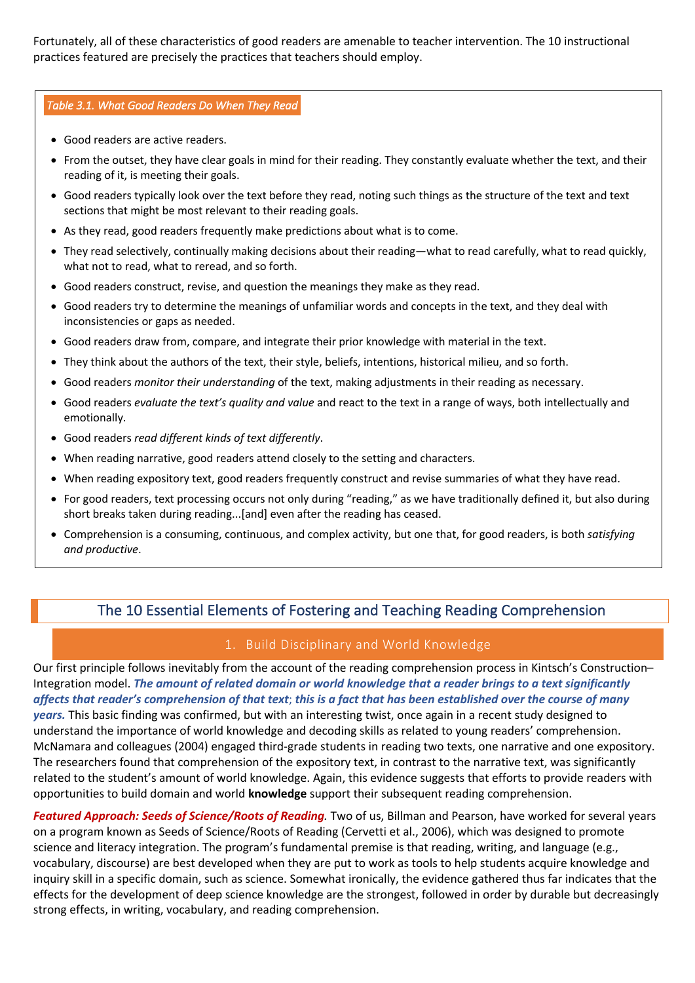Fortunately, all of these characteristics of good readers are amenable to teacher intervention. The 10 instructional practices featured are precisely the practices that teachers should employ.

#### *Table 3.1. What Good Readers Do When They Read*

- Good readers are active readers.
- From the outset, they have clear goals in mind for their reading. They constantly evaluate whether the text, and their reading of it, is meeting their goals.
- Good readers typically look over the text before they read, noting such things as the structure of the text and text sections that might be most relevant to their reading goals.
- As they read, good readers frequently make predictions about what is to come.
- They read selectively, continually making decisions about their reading—what to read carefully, what to read quickly, what not to read, what to reread, and so forth.
- Good readers construct, revise, and question the meanings they make as they read.
- Good readers try to determine the meanings of unfamiliar words and concepts in the text, and they deal with inconsistencies or gaps as needed.
- Good readers draw from, compare, and integrate their prior knowledge with material in the text.
- They think about the authors of the text, their style, beliefs, intentions, historical milieu, and so forth.
- Good readers *monitor their understanding* of the text, making adjustments in their reading as necessary.
- Good readers *evaluate the text's quality and value* and react to the text in a range of ways, both intellectually and emotionally.
- Good readers *read different kinds of text differently*.
- When reading narrative, good readers attend closely to the setting and characters.
- When reading expository text, good readers frequently construct and revise summaries of what they have read.
- For good readers, text processing occurs not only during "reading," as we have traditionally defined it, but also during short breaks taken during reading...[and] even after the reading has ceased.
- Comprehension is a consuming, continuous, and complex activity, but one that, for good readers, is both *satisfying and productive*.

## The 10 Essential Elements of Fostering and Teaching Reading Comprehension

#### 1. Build Disciplinary and World Knowledge

Our first principle follows inevitably from the account of the reading comprehension process in Kintsch's Construction– Integration model. *The amount of related domain or world knowledge that a reader brings to a text significantly affects that reader's comprehension of that text*; *this is a fact that has been established over the course of many* 

*years.* This basic finding was confirmed, but with an interesting twist, once again in a recent study designed to understand the importance of world knowledge and decoding skills as related to young readers' comprehension. McNamara and colleagues (2004) engaged third-grade students in reading two texts, one narrative and one expository. The researchers found that comprehension of the expository text, in contrast to the narrative text, was significantly related to the student's amount of world knowledge. Again, this evidence suggests that efforts to provide readers with opportunities to build domain and world **knowledge** support their subsequent reading comprehension.

*Featured Approach: Seeds of Science/Roots of Reading.* Two of us, Billman and Pearson, have worked for several years on a program known as Seeds of Science/Roots of Reading (Cervetti et al., 2006), which was designed to promote science and literacy integration. The program's fundamental premise is that reading, writing, and language (e.g., vocabulary, discourse) are best developed when they are put to work as tools to help students acquire knowledge and inquiry skill in a specific domain, such as science. Somewhat ironically, the evidence gathered thus far indicates that the effects for the development of deep science knowledge are the strongest, followed in order by durable but decreasingly strong effects, in writing, vocabulary, and reading comprehension.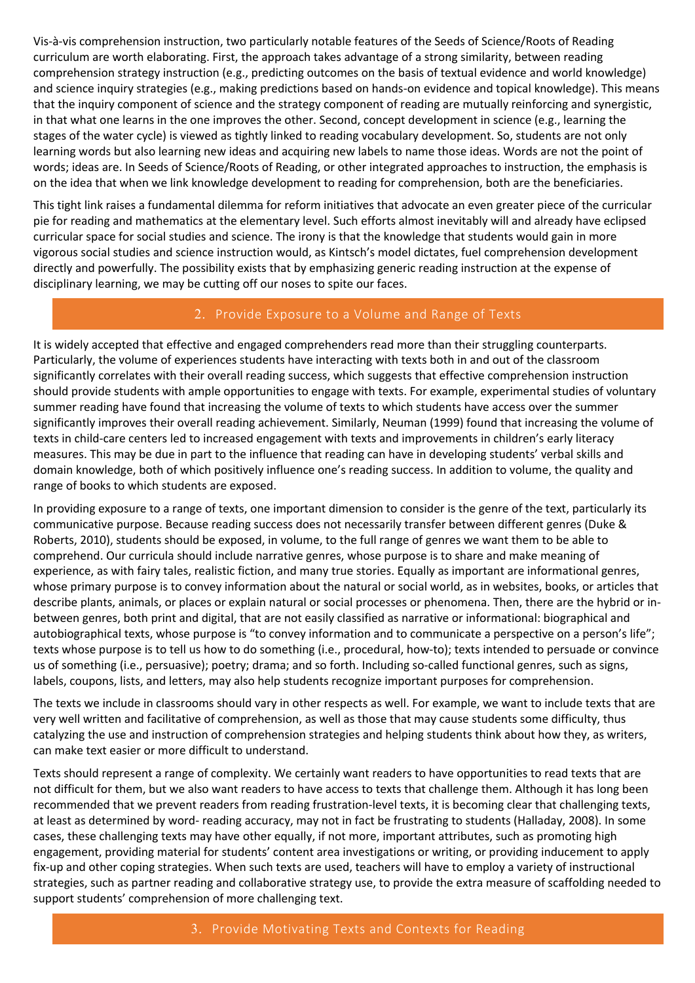Vis-à-vis comprehension instruction, two particularly notable features of the Seeds of Science/Roots of Reading curriculum are worth elaborating. First, the approach takes advantage of a strong similarity, between reading comprehension strategy instruction (e.g., predicting outcomes on the basis of textual evidence and world knowledge) and science inquiry strategies (e.g., making predictions based on hands-on evidence and topical knowledge). This means that the inquiry component of science and the strategy component of reading are mutually reinforcing and synergistic, in that what one learns in the one improves the other. Second, concept development in science (e.g., learning the stages of the water cycle) is viewed as tightly linked to reading vocabulary development. So, students are not only learning words but also learning new ideas and acquiring new labels to name those ideas. Words are not the point of words; ideas are. In Seeds of Science/Roots of Reading, or other integrated approaches to instruction, the emphasis is on the idea that when we link knowledge development to reading for comprehension, both are the beneficiaries.

This tight link raises a fundamental dilemma for reform initiatives that advocate an even greater piece of the curricular pie for reading and mathematics at the elementary level. Such efforts almost inevitably will and already have eclipsed curricular space for social studies and science. The irony is that the knowledge that students would gain in more vigorous social studies and science instruction would, as Kintsch's model dictates, fuel comprehension development directly and powerfully. The possibility exists that by emphasizing generic reading instruction at the expense of disciplinary learning, we may be cutting off our noses to spite our faces.

#### 2. Provide Exposure to a Volume and Range of Texts

It is widely accepted that effective and engaged comprehenders read more than their struggling counterparts. Particularly, the volume of experiences students have interacting with texts both in and out of the classroom significantly correlates with their overall reading success, which suggests that effective comprehension instruction should provide students with ample opportunities to engage with texts. For example, experimental studies of voluntary summer reading have found that increasing the volume of texts to which students have access over the summer significantly improves their overall reading achievement. Similarly, Neuman (1999) found that increasing the volume of texts in child-care centers led to increased engagement with texts and improvements in children's early literacy measures. This may be due in part to the influence that reading can have in developing students' verbal skills and domain knowledge, both of which positively influence one's reading success. In addition to volume, the quality and range of books to which students are exposed.

In providing exposure to a range of texts, one important dimension to consider is the genre of the text, particularly its communicative purpose. Because reading success does not necessarily transfer between different genres (Duke & Roberts, 2010), students should be exposed, in volume, to the full range of genres we want them to be able to comprehend. Our curricula should include narrative genres, whose purpose is to share and make meaning of experience, as with fairy tales, realistic fiction, and many true stories. Equally as important are informational genres, whose primary purpose is to convey information about the natural or social world, as in websites, books, or articles that describe plants, animals, or places or explain natural or social processes or phenomena. Then, there are the hybrid or inbetween genres, both print and digital, that are not easily classified as narrative or informational: biographical and autobiographical texts, whose purpose is "to convey information and to communicate a perspective on a person's life"; texts whose purpose is to tell us how to do something (i.e., procedural, how-to); texts intended to persuade or convince us of something (i.e., persuasive); poetry; drama; and so forth. Including so-called functional genres, such as signs, labels, coupons, lists, and letters, may also help students recognize important purposes for comprehension.

The texts we include in classrooms should vary in other respects as well. For example, we want to include texts that are very well written and facilitative of comprehension, as well as those that may cause students some difficulty, thus catalyzing the use and instruction of comprehension strategies and helping students think about how they, as writers, can make text easier or more difficult to understand.

Texts should represent a range of complexity. We certainly want readers to have opportunities to read texts that are not difficult for them, but we also want readers to have access to texts that challenge them. Although it has long been recommended that we prevent readers from reading frustration-level texts, it is becoming clear that challenging texts, at least as determined by word- reading accuracy, may not in fact be frustrating to students (Halladay, 2008). In some cases, these challenging texts may have other equally, if not more, important attributes, such as promoting high engagement, providing material for students' content area investigations or writing, or providing inducement to apply fix-up and other coping strategies. When such texts are used, teachers will have to employ a variety of instructional strategies, such as partner reading and collaborative strategy use, to provide the extra measure of scaffolding needed to support students' comprehension of more challenging text.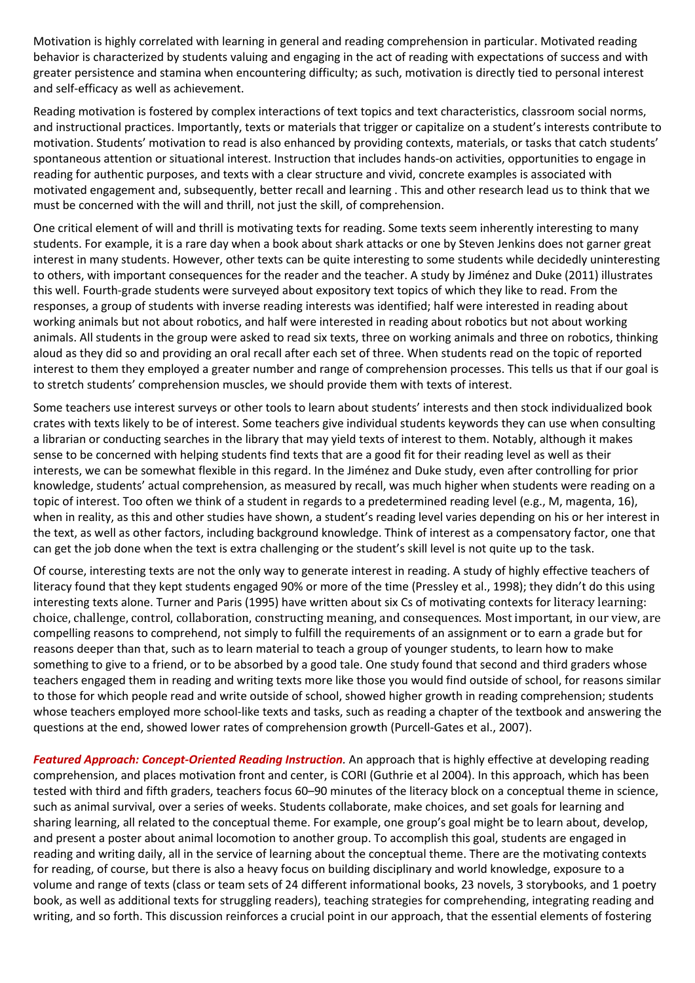Motivation is highly correlated with learning in general and reading comprehension in particular. Motivated reading behavior is characterized by students valuing and engaging in the act of reading with expectations of success and with greater persistence and stamina when encountering difficulty; as such, motivation is directly tied to personal interest and self-efficacy as well as achievement.

Reading motivation is fostered by complex interactions of text topics and text characteristics, classroom social norms, and instructional practices. Importantly, texts or materials that trigger or capitalize on a student's interests contribute to motivation. Students' motivation to read is also enhanced by providing contexts, materials, or tasks that catch students' spontaneous attention or situational interest. Instruction that includes hands-on activities, opportunities to engage in reading for authentic purposes, and texts with a clear structure and vivid, concrete examples is associated with motivated engagement and, subsequently, better recall and learning . This and other research lead us to think that we must be concerned with the will and thrill, not just the skill, of comprehension.

One critical element of will and thrill is motivating texts for reading. Some texts seem inherently interesting to many students. For example, it is a rare day when a book about shark attacks or one by Steven Jenkins does not garner great interest in many students. However, other texts can be quite interesting to some students while decidedly uninteresting to others, with important consequences for the reader and the teacher. A study by Jiménez and Duke (2011) illustrates this well. Fourth-grade students were surveyed about expository text topics of which they like to read. From the responses, a group of students with inverse reading interests was identified; half were interested in reading about working animals but not about robotics, and half were interested in reading about robotics but not about working animals. All students in the group were asked to read six texts, three on working animals and three on robotics, thinking aloud as they did so and providing an oral recall after each set of three. When students read on the topic of reported interest to them they employed a greater number and range of comprehension processes. This tells us that if our goal is to stretch students' comprehension muscles, we should provide them with texts of interest.

Some teachers use interest surveys or other tools to learn about students' interests and then stock individualized book crates with texts likely to be of interest. Some teachers give individual students keywords they can use when consulting a librarian or conducting searches in the library that may yield texts of interest to them. Notably, although it makes sense to be concerned with helping students find texts that are a good fit for their reading level as well as their interests, we can be somewhat flexible in this regard. In the Jiménez and Duke study, even after controlling for prior knowledge, students' actual comprehension, as measured by recall, was much higher when students were reading on a topic of interest. Too often we think of a student in regards to a predetermined reading level (e.g., M, magenta, 16), when in reality, as this and other studies have shown, a student's reading level varies depending on his or her interest in the text, as well as other factors, including background knowledge. Think of interest as a compensatory factor, one that can get the job done when the text is extra challenging or the student's skill level is not quite up to the task.

Of course, interesting texts are not the only way to generate interest in reading. A study of highly effective teachers of literacy found that they kept students engaged 90% or more of the time (Pressley et al., 1998); they didn't do this using interesting texts alone. Turner and Paris (1995) have written about six Cs of motivating contexts for literacy learning: choice, challenge, control, collaboration, constructing meaning, and consequences. Most important, in our view, are compelling reasons to comprehend, not simply to fulfill the requirements of an assignment or to earn a grade but for reasons deeper than that, such as to learn material to teach a group of younger students, to learn how to make something to give to a friend, or to be absorbed by a good tale. One study found that second and third graders whose teachers engaged them in reading and writing texts more like those you would find outside of school, for reasons similar to those for which people read and write outside of school, showed higher growth in reading comprehension; students whose teachers employed more school-like texts and tasks, such as reading a chapter of the textbook and answering the questions at the end, showed lower rates of comprehension growth (Purcell-Gates et al., 2007).

*Featured Approach: Concept-Oriented Reading Instruction.* An approach that is highly effective at developing reading comprehension, and places motivation front and center, is CORI (Guthrie et al 2004). In this approach, which has been tested with third and fifth graders, teachers focus 60–90 minutes of the literacy block on a conceptual theme in science, such as animal survival, over a series of weeks. Students collaborate, make choices, and set goals for learning and sharing learning, all related to the conceptual theme. For example, one group's goal might be to learn about, develop, and present a poster about animal locomotion to another group. To accomplish this goal, students are engaged in reading and writing daily, all in the service of learning about the conceptual theme. There are the motivating contexts for reading, of course, but there is also a heavy focus on building disciplinary and world knowledge, exposure to a volume and range of texts (class or team sets of 24 different informational books, 23 novels, 3 storybooks, and 1 poetry book, as well as additional texts for struggling readers), teaching strategies for comprehending, integrating reading and writing, and so forth. This discussion reinforces a crucial point in our approach, that the essential elements of fostering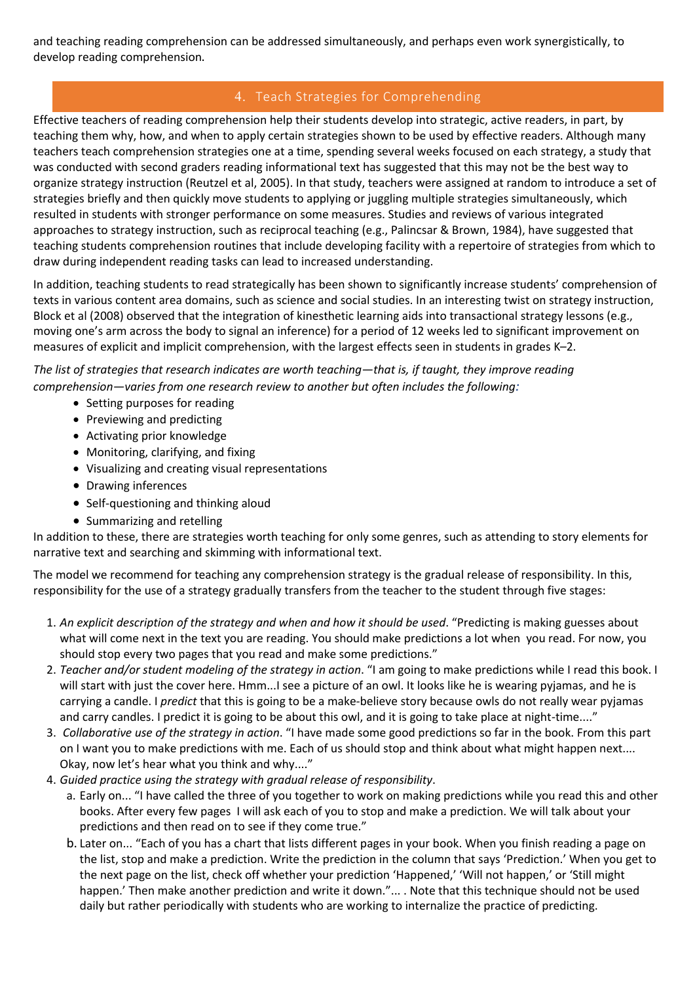and teaching reading comprehension can be addressed simultaneously, and perhaps even work synergistically, to develop reading comprehension. 

## 4. Teach Strategies for Comprehending

Effective teachers of reading comprehension help their students develop into strategic, active readers, in part, by teaching them why, how, and when to apply certain strategies shown to be used by effective readers. Although many teachers teach comprehension strategies one at a time, spending several weeks focused on each strategy, a study that was conducted with second graders reading informational text has suggested that this may not be the best way to organize strategy instruction (Reutzel et al, 2005). In that study, teachers were assigned at random to introduce a set of strategies briefly and then quickly move students to applying or juggling multiple strategies simultaneously, which resulted in students with stronger performance on some measures. Studies and reviews of various integrated approaches to strategy instruction, such as reciprocal teaching (e.g., Palincsar & Brown, 1984), have suggested that teaching students comprehension routines that include developing facility with a repertoire of strategies from which to draw during independent reading tasks can lead to increased understanding.

In addition, teaching students to read strategically has been shown to significantly increase students' comprehension of texts in various content area domains, such as science and social studies. In an interesting twist on strategy instruction, Block et al (2008) observed that the integration of kinesthetic learning aids into transactional strategy lessons (e.g., moving one's arm across the body to signal an inference) for a period of 12 weeks led to significant improvement on measures of explicit and implicit comprehension, with the largest effects seen in students in grades K–2.

*The list of strategies that research indicates are worth teaching—that is, if taught, they improve reading comprehension—varies from one research review to another but often includes the following:* 

- Setting purposes for reading
- Previewing and predicting
- Activating prior knowledge
- Monitoring, clarifying, and fixing
- Visualizing and creating visual representations
- Drawing inferences
- Self-questioning and thinking aloud
- Summarizing and retelling

In addition to these, there are strategies worth teaching for only some genres, such as attending to story elements for narrative text and searching and skimming with informational text.

The model we recommend for teaching any comprehension strategy is the gradual release of responsibility. In this, responsibility for the use of a strategy gradually transfers from the teacher to the student through five stages:

- 1. *An explicit description of the strategy and when and how it should be used*. "Predicting is making guesses about what will come next in the text you are reading. You should make predictions a lot when you read. For now, you should stop every two pages that you read and make some predictions."
- 2. *Teacher and/or student modeling of the strategy in action*. "I am going to make predictions while I read this book. I will start with just the cover here. Hmm...I see a picture of an owl. It looks like he is wearing pyjamas, and he is carrying a candle. I *predict* that this is going to be a make-believe story because owls do not really wear pyjamas and carry candles. I predict it is going to be about this owl, and it is going to take place at night-time...."
- 3. *Collaborative use of the strategy in action*. "I have made some good predictions so far in the book. From this part on I want you to make predictions with me. Each of us should stop and think about what might happen next.... Okay, now let's hear what you think and why...."
- 4. *Guided practice using the strategy with gradual release of responsibility*.
	- a. Early on... "I have called the three of you together to work on making predictions while you read this and other books. After every few pages I will ask each of you to stop and make a prediction. We will talk about your predictions and then read on to see if they come true."
	- b. Later on... "Each of you has a chart that lists different pages in your book. When you finish reading a page on the list, stop and make a prediction. Write the prediction in the column that says 'Prediction.' When you get to the next page on the list, check off whether your prediction 'Happened,' 'Will not happen,' or 'Still might happen.' Then make another prediction and write it down."... . Note that this technique should not be used daily but rather periodically with students who are working to internalize the practice of predicting.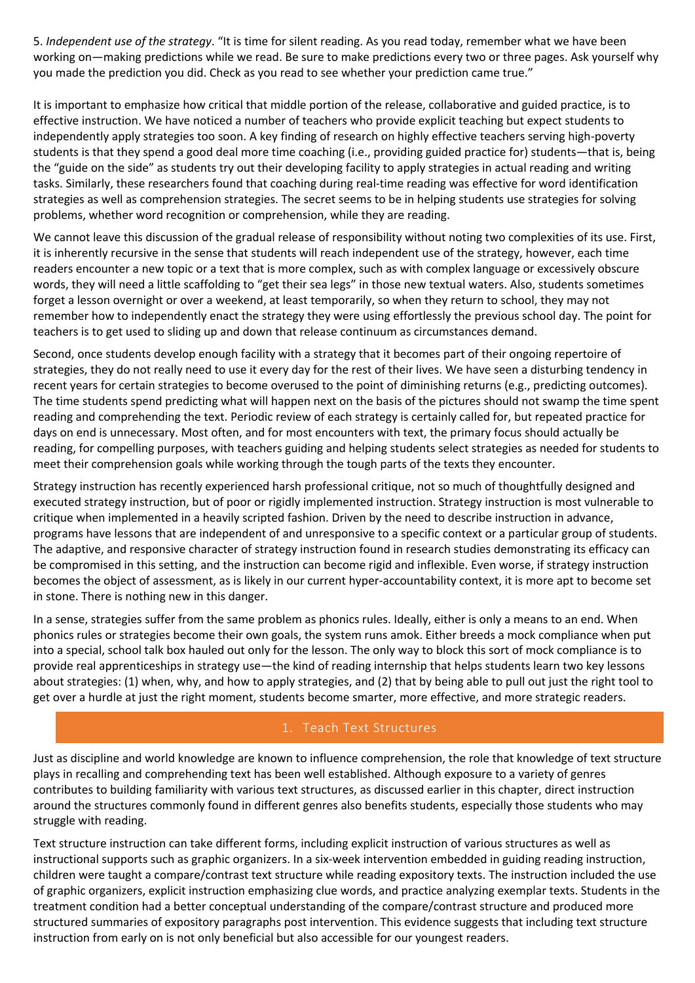5. *Independent use of the strategy*. "It is time for silent reading. As you read today, remember what we have been working on—making predictions while we read. Be sure to make predictions every two or three pages. Ask yourself why you made the prediction you did. Check as you read to see whether your prediction came true."

It is important to emphasize how critical that middle portion of the release, collaborative and guided practice, is to effective instruction. We have noticed a number of teachers who provide explicit teaching but expect students to independently apply strategies too soon. A key finding of research on highly effective teachers serving high-poverty students is that they spend a good deal more time coaching (i.e., providing guided practice for) students—that is, being the "guide on the side" as students try out their developing facility to apply strategies in actual reading and writing tasks. Similarly, these researchers found that coaching during real-time reading was effective for word identification strategies as well as comprehension strategies. The secret seems to be in helping students use strategies for solving problems, whether word recognition or comprehension, while they are reading.

We cannot leave this discussion of the gradual release of responsibility without noting two complexities of its use. First, it is inherently recursive in the sense that students will reach independent use of the strategy, however, each time readers encounter a new topic or a text that is more complex, such as with complex language or excessively obscure words, they will need a little scaffolding to "get their sea legs" in those new textual waters. Also, students sometimes forget a lesson overnight or over a weekend, at least temporarily, so when they return to school, they may not remember how to independently enact the strategy they were using effortlessly the previous school day. The point for teachers is to get used to sliding up and down that release continuum as circumstances demand.

Second, once students develop enough facility with a strategy that it becomes part of their ongoing repertoire of strategies, they do not really need to use it every day for the rest of their lives. We have seen a disturbing tendency in recent years for certain strategies to become overused to the point of diminishing returns (e.g., predicting outcomes). The time students spend predicting what will happen next on the basis of the pictures should not swamp the time spent reading and comprehending the text. Periodic review of each strategy is certainly called for, but repeated practice for days on end is unnecessary. Most often, and for most encounters with text, the primary focus should actually be reading, for compelling purposes, with teachers guiding and helping students select strategies as needed for students to meet their comprehension goals while working through the tough parts of the texts they encounter.

Strategy instruction has recently experienced harsh professional critique, not so much of thoughtfully designed and executed strategy instruction, but of poor or rigidly implemented instruction. Strategy instruction is most vulnerable to critique when implemented in a heavily scripted fashion. Driven by the need to describe instruction in advance, programs have lessons that are independent of and unresponsive to a specific context or a particular group of students. The adaptive, and responsive character of strategy instruction found in research studies demonstrating its efficacy can be compromised in this setting, and the instruction can become rigid and inflexible. Even worse, if strategy instruction becomes the object of assessment, as is likely in our current hyper-accountability context, it is more apt to become set in stone. There is nothing new in this danger.

In a sense, strategies suffer from the same problem as phonics rules. Ideally, either is only a means to an end. When phonics rules or strategies become their own goals, the system runs amok. Either breeds a mock compliance when put into a special, school talk box hauled out only for the lesson. The only way to block this sort of mock compliance is to provide real apprenticeships in strategy use—the kind of reading internship that helps students learn two key lessons about strategies: (1) when, why, and how to apply strategies, and (2) that by being able to pull out just the right tool to get over a hurdle at just the right moment, students become smarter, more effective, and more strategic readers.

## 1. Teach Text Structures

Just as discipline and world knowledge are known to influence comprehension, the role that knowledge of text structure plays in recalling and comprehending text has been well established. Although exposure to a variety of genres contributes to building familiarity with various text structures, as discussed earlier in this chapter, direct instruction around the structures commonly found in different genres also benefits students, especially those students who may struggle with reading.

Text structure instruction can take different forms, including explicit instruction of various structures as well as instructional supports such as graphic organizers. In a six-week intervention embedded in guiding reading instruction, children were taught a compare/contrast text structure while reading expository texts. The instruction included the use of graphic organizers, explicit instruction emphasizing clue words, and practice analyzing exemplar texts. Students in the treatment condition had a better conceptual understanding of the compare/contrast structure and produced more structured summaries of expository paragraphs post intervention. This evidence suggests that including text structure instruction from early on is not only beneficial but also accessible for our youngest readers.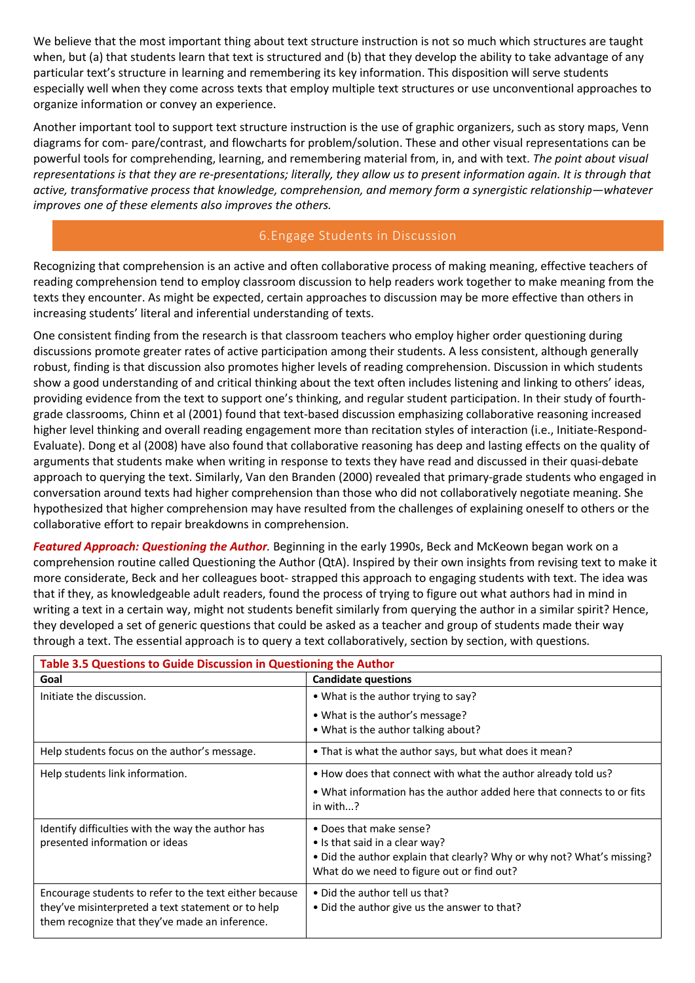We believe that the most important thing about text structure instruction is not so much which structures are taught when, but (a) that students learn that text is structured and (b) that they develop the ability to take advantage of any particular text's structure in learning and remembering its key information. This disposition will serve students especially well when they come across texts that employ multiple text structures or use unconventional approaches to organize information or convey an experience.

Another important tool to support text structure instruction is the use of graphic organizers, such as story maps, Venn diagrams for com- pare/contrast, and flowcharts for problem/solution. These and other visual representations can be powerful tools for comprehending, learning, and remembering material from, in, and with text. *The point about visual representations is that they are re-presentations; literally, they allow us to present information again. It is through that active, transformative process that knowledge, comprehension, and memory form a synergistic relationship—whatever improves one of these elements also improves the others.* 

## 6.Engage Students in Discussion

Recognizing that comprehension is an active and often collaborative process of making meaning, effective teachers of reading comprehension tend to employ classroom discussion to help readers work together to make meaning from the texts they encounter. As might be expected, certain approaches to discussion may be more effective than others in increasing students' literal and inferential understanding of texts.

One consistent finding from the research is that classroom teachers who employ higher order questioning during discussions promote greater rates of active participation among their students. A less consistent, although generally robust, finding is that discussion also promotes higher levels of reading comprehension. Discussion in which students show a good understanding of and critical thinking about the text often includes listening and linking to others' ideas, providing evidence from the text to support one's thinking, and regular student participation. In their study of fourthgrade classrooms, Chinn et al (2001) found that text-based discussion emphasizing collaborative reasoning increased higher level thinking and overall reading engagement more than recitation styles of interaction (i.e., Initiate-Respond-Evaluate). Dong et al (2008) have also found that collaborative reasoning has deep and lasting effects on the quality of arguments that students make when writing in response to texts they have read and discussed in their quasi-debate approach to querying the text. Similarly, Van den Branden (2000) revealed that primary-grade students who engaged in conversation around texts had higher comprehension than those who did not collaboratively negotiate meaning. She hypothesized that higher comprehension may have resulted from the challenges of explaining oneself to others or the collaborative effort to repair breakdowns in comprehension.

*Featured Approach: Questioning the Author.* Beginning in the early 1990s, Beck and McKeown began work on a comprehension routine called Questioning the Author (QtA). Inspired by their own insights from revising text to make it more considerate, Beck and her colleagues boot- strapped this approach to engaging students with text. The idea was that if they, as knowledgeable adult readers, found the process of trying to figure out what authors had in mind in writing a text in a certain way, might not students benefit similarly from querying the author in a similar spirit? Hence, they developed a set of generic questions that could be asked as a teacher and group of students made their way through a text. The essential approach is to query a text collaboratively, section by section, with questions.

| Table 3.5 Questions to Guide Discussion in Questioning the Author                                                                                              |                                                                                                                                                                                   |
|----------------------------------------------------------------------------------------------------------------------------------------------------------------|-----------------------------------------------------------------------------------------------------------------------------------------------------------------------------------|
| Goal                                                                                                                                                           | <b>Candidate questions</b>                                                                                                                                                        |
| Initiate the discussion.                                                                                                                                       | • What is the author trying to say?                                                                                                                                               |
|                                                                                                                                                                | • What is the author's message?<br>• What is the author talking about?                                                                                                            |
| Help students focus on the author's message.                                                                                                                   | • That is what the author says, but what does it mean?                                                                                                                            |
| Help students link information.                                                                                                                                | • How does that connect with what the author already told us?                                                                                                                     |
|                                                                                                                                                                | • What information has the author added here that connects to or fits<br>in with?                                                                                                 |
| Identify difficulties with the way the author has<br>presented information or ideas                                                                            | • Does that make sense?<br>• Is that said in a clear way?<br>• Did the author explain that clearly? Why or why not? What's missing?<br>What do we need to figure out or find out? |
| Encourage students to refer to the text either because<br>they've misinterpreted a text statement or to help<br>them recognize that they've made an inference. | • Did the author tell us that?<br>• Did the author give us the answer to that?                                                                                                    |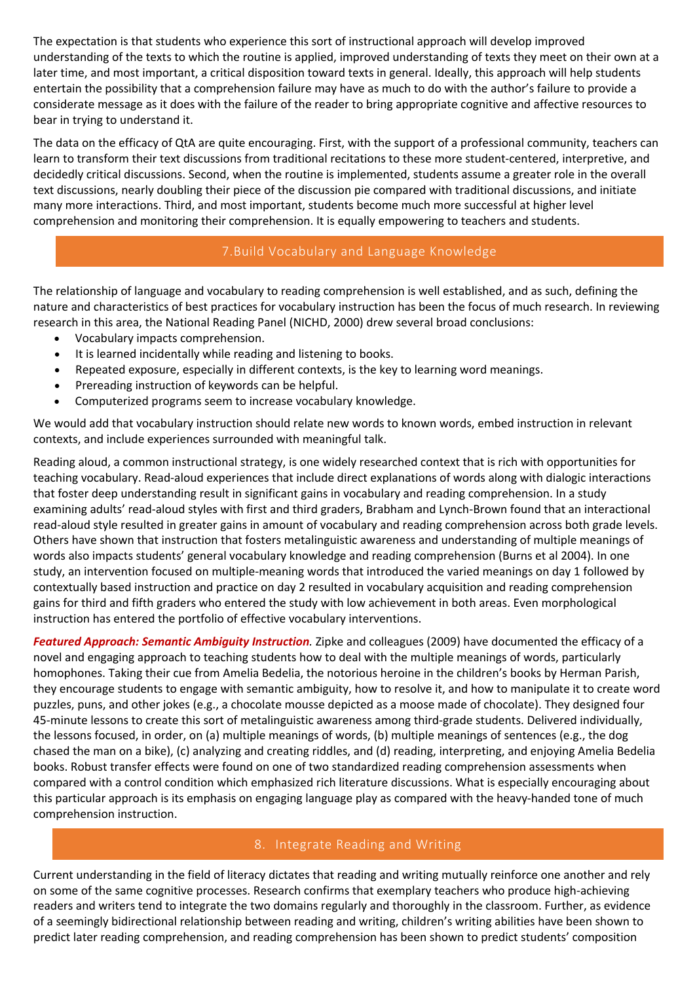The expectation is that students who experience this sort of instructional approach will develop improved understanding of the texts to which the routine is applied, improved understanding of texts they meet on their own at a later time, and most important, a critical disposition toward texts in general. Ideally, this approach will help students entertain the possibility that a comprehension failure may have as much to do with the author's failure to provide a considerate message as it does with the failure of the reader to bring appropriate cognitive and affective resources to bear in trying to understand it.

The data on the efficacy of QtA are quite encouraging. First, with the support of a professional community, teachers can learn to transform their text discussions from traditional recitations to these more student-centered, interpretive, and decidedly critical discussions. Second, when the routine is implemented, students assume a greater role in the overall text discussions, nearly doubling their piece of the discussion pie compared with traditional discussions, and initiate many more interactions. Third, and most important, students become much more successful at higher level comprehension and monitoring their comprehension. It is equally empowering to teachers and students.

## 7.Build Vocabulary and Language Knowledge

The relationship of language and vocabulary to reading comprehension is well established, and as such, defining the nature and characteristics of best practices for vocabulary instruction has been the focus of much research. In reviewing research in this area, the National Reading Panel (NICHD, 2000) drew several broad conclusions:

- Vocabulary impacts comprehension.
- It is learned incidentally while reading and listening to books.
- Repeated exposure, especially in different contexts, is the key to learning word meanings.
- Prereading instruction of keywords can be helpful.
- Computerized programs seem to increase vocabulary knowledge.

We would add that vocabulary instruction should relate new words to known words, embed instruction in relevant contexts, and include experiences surrounded with meaningful talk.

Reading aloud, a common instructional strategy, is one widely researched context that is rich with opportunities for teaching vocabulary. Read-aloud experiences that include direct explanations of words along with dialogic interactions that foster deep understanding result in significant gains in vocabulary and reading comprehension. In a study examining adults' read-aloud styles with first and third graders, Brabham and Lynch-Brown found that an interactional read-aloud style resulted in greater gains in amount of vocabulary and reading comprehension across both grade levels. Others have shown that instruction that fosters metalinguistic awareness and understanding of multiple meanings of words also impacts students' general vocabulary knowledge and reading comprehension (Burns et al 2004). In one study, an intervention focused on multiple-meaning words that introduced the varied meanings on day 1 followed by contextually based instruction and practice on day 2 resulted in vocabulary acquisition and reading comprehension gains for third and fifth graders who entered the study with low achievement in both areas. Even morphological instruction has entered the portfolio of effective vocabulary interventions.

*Featured Approach: Semantic Ambiguity Instruction.* Zipke and colleagues (2009) have documented the efficacy of a novel and engaging approach to teaching students how to deal with the multiple meanings of words, particularly homophones. Taking their cue from Amelia Bedelia, the notorious heroine in the children's books by Herman Parish, they encourage students to engage with semantic ambiguity, how to resolve it, and how to manipulate it to create word puzzles, puns, and other jokes (e.g., a chocolate mousse depicted as a moose made of chocolate). They designed four 45-minute lessons to create this sort of metalinguistic awareness among third-grade students. Delivered individually, the lessons focused, in order, on (a) multiple meanings of words, (b) multiple meanings of sentences (e.g., the dog chased the man on a bike), (c) analyzing and creating riddles, and (d) reading, interpreting, and enjoying Amelia Bedelia books. Robust transfer effects were found on one of two standardized reading comprehension assessments when compared with a control condition which emphasized rich literature discussions. What is especially encouraging about this particular approach is its emphasis on engaging language play as compared with the heavy-handed tone of much comprehension instruction.

#### 8. Integrate Reading and Writing

Current understanding in the field of literacy dictates that reading and writing mutually reinforce one another and rely on some of the same cognitive processes. Research confirms that exemplary teachers who produce high-achieving readers and writers tend to integrate the two domains regularly and thoroughly in the classroom. Further, as evidence of a seemingly bidirectional relationship between reading and writing, children's writing abilities have been shown to predict later reading comprehension, and reading comprehension has been shown to predict students' composition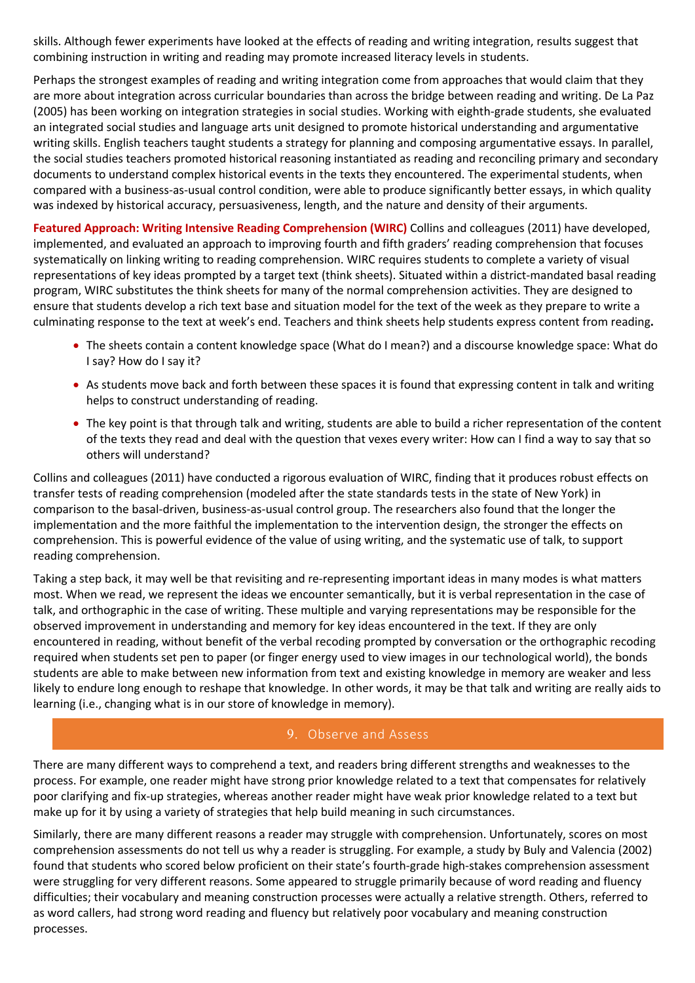skills. Although fewer experiments have looked at the effects of reading and writing integration, results suggest that combining instruction in writing and reading may promote increased literacy levels in students.

Perhaps the strongest examples of reading and writing integration come from approaches that would claim that they are more about integration across curricular boundaries than across the bridge between reading and writing. De La Paz (2005) has been working on integration strategies in social studies. Working with eighth-grade students, she evaluated an integrated social studies and language arts unit designed to promote historical understanding and argumentative writing skills. English teachers taught students a strategy for planning and composing argumentative essays. In parallel, the social studies teachers promoted historical reasoning instantiated as reading and reconciling primary and secondary documents to understand complex historical events in the texts they encountered. The experimental students, when compared with a business-as-usual control condition, were able to produce significantly better essays, in which quality was indexed by historical accuracy, persuasiveness, length, and the nature and density of their arguments.

**Featured Approach: Writing Intensive Reading Comprehension (WIRC)** Collins and colleagues (2011) have developed, implemented, and evaluated an approach to improving fourth and fifth graders' reading comprehension that focuses systematically on linking writing to reading comprehension. WIRC requires students to complete a variety of visual representations of key ideas prompted by a target text (think sheets). Situated within a district-mandated basal reading program, WIRC substitutes the think sheets for many of the normal comprehension activities. They are designed to ensure that students develop a rich text base and situation model for the text of the week as they prepare to write a culminating response to the text at week's end. Teachers and think sheets help students express content from reading**.** 

- The sheets contain a content knowledge space (What do I mean?) and a discourse knowledge space: What do I say? How do I say it?
- As students move back and forth between these spaces it is found that expressing content in talk and writing helps to construct understanding of reading.
- The key point is that through talk and writing, students are able to build a richer representation of the content of the texts they read and deal with the question that vexes every writer: How can I find a way to say that so others will understand?

Collins and colleagues (2011) have conducted a rigorous evaluation of WIRC, finding that it produces robust effects on transfer tests of reading comprehension (modeled after the state standards tests in the state of New York) in comparison to the basal-driven, business-as-usual control group. The researchers also found that the longer the implementation and the more faithful the implementation to the intervention design, the stronger the effects on comprehension. This is powerful evidence of the value of using writing, and the systematic use of talk, to support reading comprehension.

Taking a step back, it may well be that revisiting and re-representing important ideas in many modes is what matters most. When we read, we represent the ideas we encounter semantically, but it is verbal representation in the case of talk, and orthographic in the case of writing. These multiple and varying representations may be responsible for the observed improvement in understanding and memory for key ideas encountered in the text. If they are only encountered in reading, without benefit of the verbal recoding prompted by conversation or the orthographic recoding required when students set pen to paper (or finger energy used to view images in our technological world), the bonds students are able to make between new information from text and existing knowledge in memory are weaker and less likely to endure long enough to reshape that knowledge. In other words, it may be that talk and writing are really aids to learning (i.e., changing what is in our store of knowledge in memory).

#### 9. Observe and Assess

There are many different ways to comprehend a text, and readers bring different strengths and weaknesses to the process. For example, one reader might have strong prior knowledge related to a text that compensates for relatively poor clarifying and fix-up strategies, whereas another reader might have weak prior knowledge related to a text but make up for it by using a variety of strategies that help build meaning in such circumstances.

Similarly, there are many different reasons a reader may struggle with comprehension. Unfortunately, scores on most comprehension assessments do not tell us why a reader is struggling. For example, a study by Buly and Valencia (2002) found that students who scored below proficient on their state's fourth-grade high-stakes comprehension assessment were struggling for very different reasons. Some appeared to struggle primarily because of word reading and fluency difficulties; their vocabulary and meaning construction processes were actually a relative strength. Others, referred to as word callers, had strong word reading and fluency but relatively poor vocabulary and meaning construction processes.